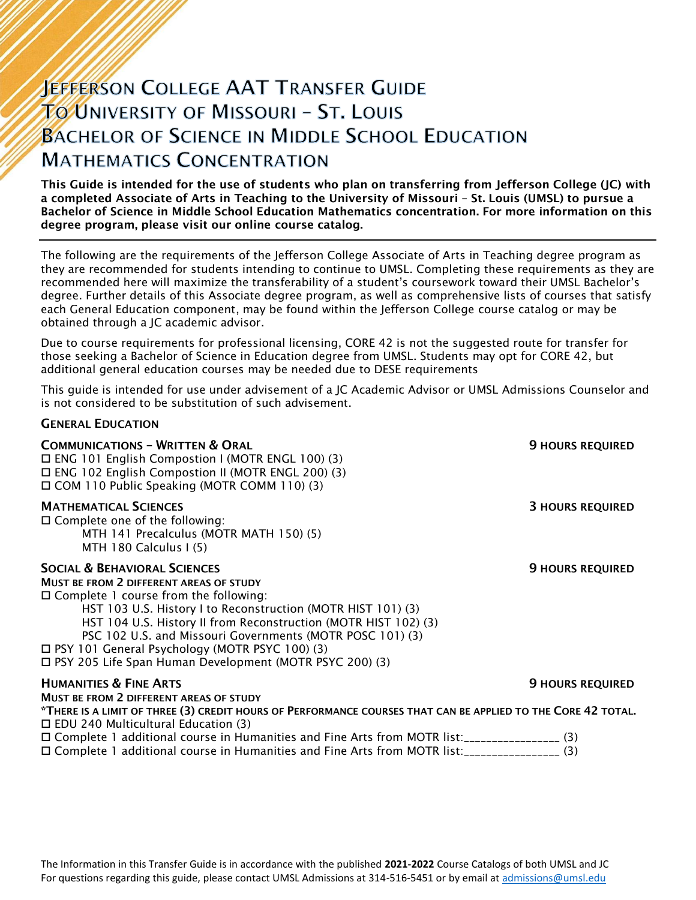# **JEFFERSON COLLEGE AAT TRANSFER GUIDE** TO UNIVERSITY OF MISSOURI - ST. LOUIS **BACHELOR OF SCIENCE IN MIDDLE SCHOOL EDUCATION MATHEMATICS CONCENTRATION**

This Guide is intended for the use of students who plan on transferring from Jefferson College (JC) with a completed Associate of Arts in Teaching to the University of Missouri – St. Louis (UMSL) to pursue a Bachelor of Science in Middle School Education Mathematics concentration. For more information on this degree program, please visit our online course catalog.

The following are the requirements of the Jefferson College Associate of Arts in Teaching degree program as they are recommended for students intending to continue to UMSL. Completing these requirements as they are recommended here will maximize the transferability of a student's coursework toward their UMSL Bachelor's degree. Further details of this Associate degree program, as well as comprehensive lists of courses that satisfy each General Education component, may be found within the Jefferson College course catalog or may be obtained through a JC academic advisor.

Due to course requirements for professional licensing, CORE 42 is not the suggested route for transfer for those seeking a Bachelor of Science in Education degree from UMSL. Students may opt for CORE 42, but additional general education courses may be needed due to DESE requirements

This guide is intended for use under advisement of a JC Academic Advisor or UMSL Admissions Counselor and is not considered to be substitution of such advisement.

# GENERAL EDUCATION

**COMMUNICATIONS – WRITTEN & ORAL 9 HOURS REQUIRED**  ENG 101 English Compostion I (MOTR ENGL 100) (3) ENG 102 English Compostion II (MOTR ENGL 200) (3) COM 110 Public Speaking (MOTR COMM 110) (3) **MATHEMATICAL SCIENCES** 3 **MATHEMATICAL SCIENCES** 3 **MATHEMATICAL SCIENCES** □ Complete one of the following: MTH 141 Precalculus (MOTR MATH 150) (5) MTH 180 Calculus I (5) SOCIAL & BEHAVIORAL SCIENCES **FOULD ASSESSED ASSESSED A** SOCIAL ASSESSED A SOCIAL ASSESSED A SOCIAL ASSESSED AND A SOCIAL ASSESSED AND A SOCIAL ASSESSED AND A SOCIAL ASSESSED AND A SOCIAL ASSESSED A SOCIAL ASSESSED AND A S MUST BE FROM 2 DIFFERENT AREAS OF STUDY  $\square$  Complete 1 course from the following: HST 103 U.S. History I to Reconstruction (MOTR HIST 101) (3) HST 104 U.S. History II from Reconstruction (MOTR HIST 102) (3) PSC 102 U.S. and Missouri Governments (MOTR POSC 101) (3) PSY 101 General Psychology (MOTR PSYC 100) (3) PSY 205 Life Span Human Development (MOTR PSYC 200) (3) HUMANITIES & FINE ARTS 9 HOURS REQUIRED MUST BE FROM 2 DIFFERENT AREAS OF STUDY \*THERE IS A LIMIT OF THREE (3) CREDIT HOURS OF PERFORMANCE COURSES THAT CAN BE APPLIED TO THE CORE 42 TOTAL.  $\Box$  EDU 240 Multicultural Education (3) Complete 1 additional course in Humanities and Fine Arts from MOTR list:\_\_\_\_\_\_\_\_\_\_\_\_\_\_\_\_\_ (3) Complete 1 additional course in Humanities and Fine Arts from MOTR list:\_\_\_\_\_\_\_\_\_\_\_\_\_\_\_\_\_ (3)